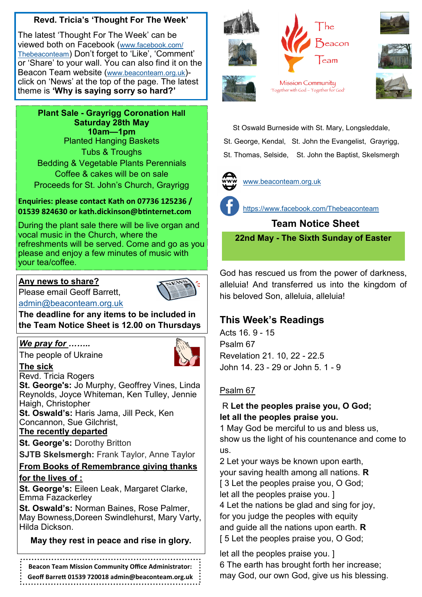### **Revd. Tricia's 'Thought For The Week'**

The latest 'Thought For The Week' can be viewed both on Facebook ([www.facebook.com/](https://www.facebook.com/Thebeaconteam) [Thebeaconteam](https://www.facebook.com/Thebeaconteam)) Don't forget to 'Like', 'Comment' or 'Share' to your wall. You can also find it on the Beacon Team website ([www.beaconteam.org.uk](http://www.beaconteam.org.uk/)) click on 'News' at the top of the page. The latest theme is **'Why is saying sorry so hard?'**

**Plant Sale - Grayrigg Coronation Hall Saturday 28th May 10am—1pm** Planted Hanging Baskets Tubs & Troughs Bedding & Vegetable Plants Perennials Coffee & cakes will be on sale Proceeds for St. John's Church, Grayrigg

#### **Enquiries: please contact Kath on 07736 125236 / 01539 824630 or kath.dickinson@btinternet.com**

During the plant sale there will be live organ and vocal music in the Church, where the refreshments will be served. Come and go as you please and enjoy a few minutes of music with your tea/coffee.

### **Any news to share?**

Please email Geoff Barrett,



[admin@beaconteam.org.uk](mailto:admin@beaconteam.org.uk) 

**The deadline for any items to be included in the Team Notice Sheet is 12.00 on Thursdays**

### *We pray for ……..*

The people of Ukraine



**The sick** Revd. Tricia Rogers

**St. George's:** Jo Murphy, Geoffrey Vines, Linda Reynolds, Joyce Whiteman, Ken Tulley, Jennie Haigh, Christopher

**St. Oswald's:** Haris Jama, Jill Peck, Ken Concannon, Sue Gilchrist,

### **The recently departed**

**St. George's:** Dorothy Britton

**SJTB Skelsmergh:** Frank Taylor, Anne Taylor

#### **From Books of Remembrance giving thanks for the lives of :**

**St. George's:** Eileen Leak, Margaret Clarke, Emma Fazackerley

**St. Oswald's:** Norman Baines, Rose Palmer, May Bowness,Doreen Swindlehurst, Mary Varty, Hilda Dickson.

### **May they rest in peace and rise in glory.**

**Beacon Team Mission Community Office Administrator:** 

**Geoff Barrett 01539 720018 admin@beaconteam.org.uk**







Mission Community 'Together with God - Together for God'



St Oswald Burneside with St. Mary, Longsleddale,

St. George, Kendal, St. John the Evangelist, Grayrigg,

St. Thomas, Selside, St. John the Baptist, Skelsmergh



[www.beaconteam.org.uk](http://www.beaconteam.org.uk/)



<https://www.facebook.com/Thebeaconteam>

 **Team Notice Sheet 22nd May - The Sixth Sunday of Easter**

God has rescued us from the power of darkness, alleluia! And transferred us into the kingdom of his beloved Son, alleluia, alleluia!

# **This Week's Readings**

Acts 16. 9 - 15 Psalm 67 Revelation 21. 10, 22 - 22.5 John 14. 23 - 29 or John 5. 1 - 9

## Psalm 67

### R **Let the peoples praise you, O God; let all the peoples praise you.**

1 May God be merciful to us and bless us, show us the light of his countenance and come to us.

2 Let your ways be known upon earth, your saving health among all nations. **R** [3 Let the peoples praise you, O God; let all the peoples praise you. ] 4 Let the nations be glad and sing for joy, for you judge the peoples with equity

and guide all the nations upon earth. **R** [5 Let the peoples praise you, O God;

let all the peoples praise you. ] 6 The earth has brought forth her increase; may God, our own God, give us his blessing.